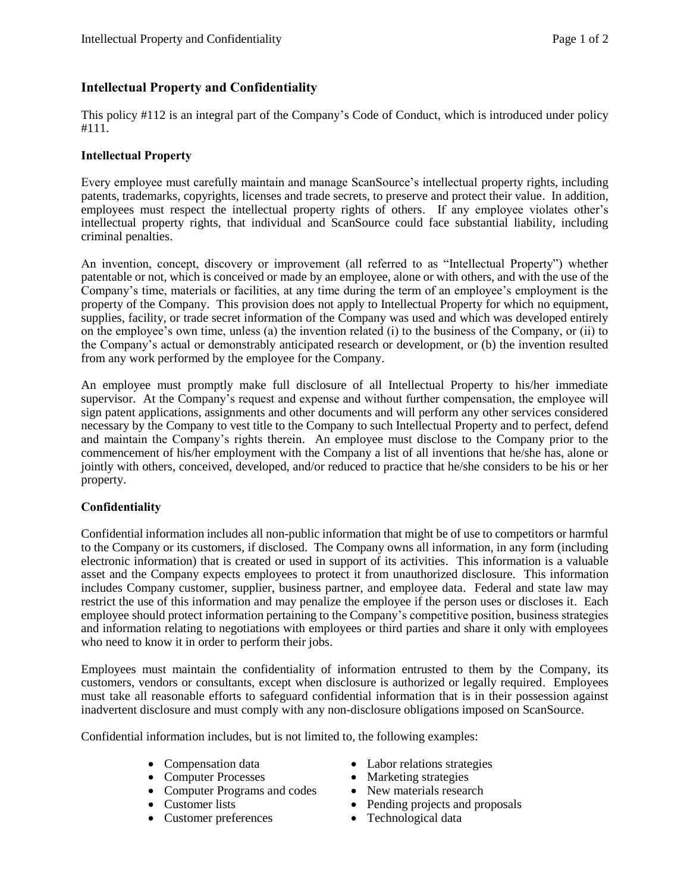## **Intellectual Property and Confidentiality**

This policy #112 is an integral part of the Company's Code of Conduct, which is introduced under policy #111.

## **Intellectual Property**

Every employee must carefully maintain and manage ScanSource's intellectual property rights, including patents, trademarks, copyrights, licenses and trade secrets, to preserve and protect their value. In addition, employees must respect the intellectual property rights of others. If any employee violates other's intellectual property rights, that individual and ScanSource could face substantial liability, including criminal penalties.

An invention, concept, discovery or improvement (all referred to as "Intellectual Property") whether patentable or not, which is conceived or made by an employee, alone or with others, and with the use of the Company's time, materials or facilities, at any time during the term of an employee's employment is the property of the Company. This provision does not apply to Intellectual Property for which no equipment, supplies, facility, or trade secret information of the Company was used and which was developed entirely on the employee's own time, unless (a) the invention related (i) to the business of the Company, or (ii) to the Company's actual or demonstrably anticipated research or development, or (b) the invention resulted from any work performed by the employee for the Company.

An employee must promptly make full disclosure of all Intellectual Property to his/her immediate supervisor. At the Company's request and expense and without further compensation, the employee will sign patent applications, assignments and other documents and will perform any other services considered necessary by the Company to vest title to the Company to such Intellectual Property and to perfect, defend and maintain the Company's rights therein. An employee must disclose to the Company prior to the commencement of his/her employment with the Company a list of all inventions that he/she has, alone or jointly with others, conceived, developed, and/or reduced to practice that he/she considers to be his or her property.

## **Confidentiality**

Confidential information includes all non-public information that might be of use to competitors or harmful to the Company or its customers, if disclosed. The Company owns all information, in any form (including electronic information) that is created or used in support of its activities. This information is a valuable asset and the Company expects employees to protect it from unauthorized disclosure. This information includes Company customer, supplier, business partner, and employee data. Federal and state law may restrict the use of this information and may penalize the employee if the person uses or discloses it. Each employee should protect information pertaining to the Company's competitive position, business strategies and information relating to negotiations with employees or third parties and share it only with employees who need to know it in order to perform their jobs.

Employees must maintain the confidentiality of information entrusted to them by the Company, its customers, vendors or consultants, except when disclosure is authorized or legally required. Employees must take all reasonable efforts to safeguard confidential information that is in their possession against inadvertent disclosure and must comply with any non-disclosure obligations imposed on ScanSource.

Confidential information includes, but is not limited to, the following examples:

- 
- 
- Computer Programs and codes New materials research
- 
- Customer preferences Technological data
- Compensation data Labor relations strategies
- Computer Processes Marketing strategies
	-
- Customer lists Pending projects and proposals
	-